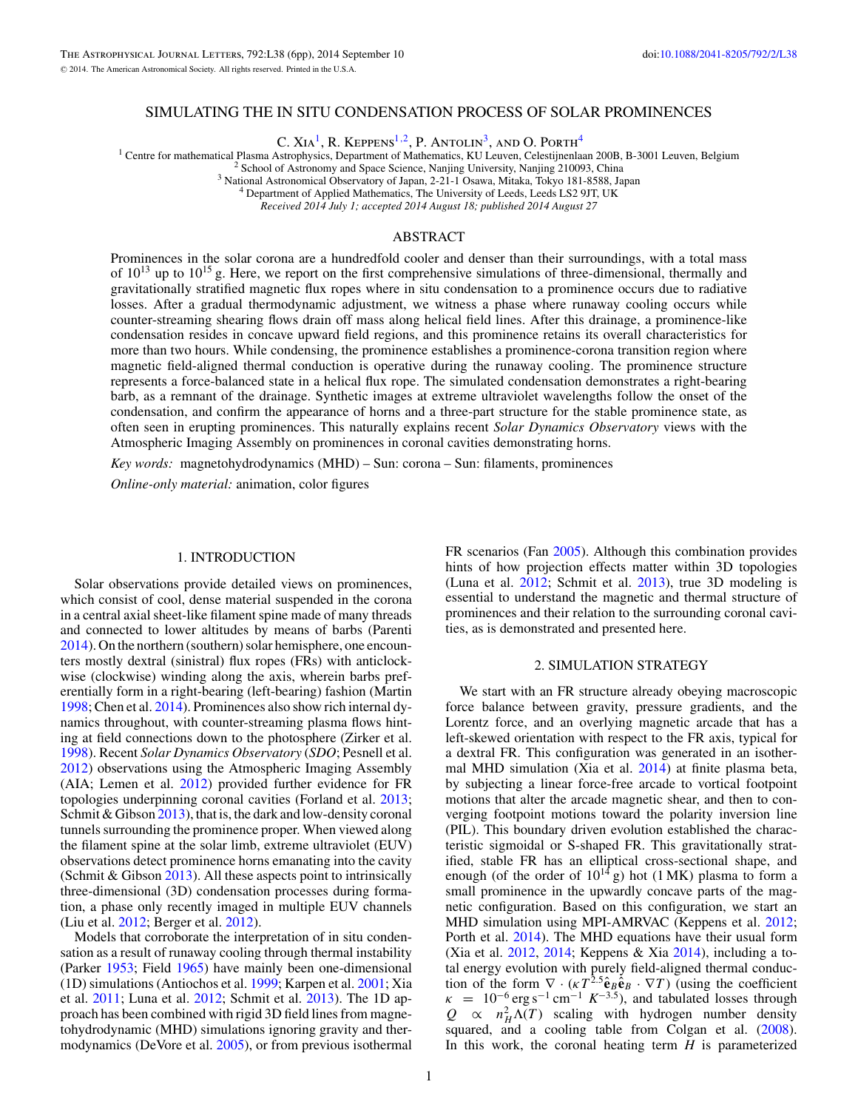# SIMULATING THE IN SITU CONDENSATION PROCESS OF SOLAR PROMINENCES

C. XIA<sup>1</sup>, R. Keppens<sup>1,2</sup>, P. Antolin<sup>3</sup>, and O. Porth<sup>4</sup>

<sup>1</sup> Centre for mathematical Plasma Astrophysics, Department of Mathematics, KU Leuven, Celestijnenlaan 200B, B-3001 Leuven, Belgium <sup>2</sup> School of Astronomy and Space Science, Nanjing University, Nanjing 210093, China<br><sup>3</sup> N

*Received 2014 July 1; accepted 2014 August 18; published 2014 August 27*

# ABSTRACT

Prominences in the solar corona are a hundredfold cooler and denser than their surroundings, with a total mass of  $10^{13}$  up to  $10^{15}$  g. Here, we report on the first comprehensive simulations of three-dimensional, thermally and gravitationally stratified magnetic flux ropes where in situ condensation to a prominence occurs due to radiative losses. After a gradual thermodynamic adjustment, we witness a phase where runaway cooling occurs while counter-streaming shearing flows drain off mass along helical field lines. After this drainage, a prominence-like condensation resides in concave upward field regions, and this prominence retains its overall characteristics for more than two hours. While condensing, the prominence establishes a prominence-corona transition region where magnetic field-aligned thermal conduction is operative during the runaway cooling. The prominence structure represents a force-balanced state in a helical flux rope. The simulated condensation demonstrates a right-bearing barb, as a remnant of the drainage. Synthetic images at extreme ultraviolet wavelengths follow the onset of the condensation, and confirm the appearance of horns and a three-part structure for the stable prominence state, as often seen in erupting prominences. This naturally explains recent *Solar Dynamics Observatory* views with the Atmospheric Imaging Assembly on prominences in coronal cavities demonstrating horns.

*Key words:* magnetohydrodynamics (MHD) – Sun: corona – Sun: filaments, prominences

*Online-only material:* animation, color figures

### 1. INTRODUCTION

Solar observations provide detailed views on prominences, which consist of cool, dense material suspended in the corona in a central axial sheet-like filament spine made of many threads and connected to lower altitudes by means of barbs (Parenti [2014\)](#page-5-0). On the northern (southern) solar hemisphere, one encounters mostly dextral (sinistral) flux ropes (FRs) with anticlockwise (clockwise) winding along the axis, wherein barbs preferentially form in a right-bearing (left-bearing) fashion (Martin [1998;](#page-5-0) Chen et al. [2014\)](#page-5-0). Prominences also show rich internal dynamics throughout, with counter-streaming plasma flows hinting at field connections down to the photosphere (Zirker et al. [1998\)](#page-5-0). Recent *Solar Dynamics Observatory* (*SDO*; Pesnell et al. [2012\)](#page-5-0) observations using the Atmospheric Imaging Assembly (AIA; Lemen et al. [2012\)](#page-5-0) provided further evidence for FR topologies underpinning coronal cavities (Forland et al. [2013;](#page-5-0) Schmit & Gibson [2013\)](#page-5-0), that is, the dark and low-density coronal tunnels surrounding the prominence proper. When viewed along the filament spine at the solar limb, extreme ultraviolet (EUV) observations detect prominence horns emanating into the cavity (Schmit & Gibson [2013\)](#page-5-0). All these aspects point to intrinsically three-dimensional (3D) condensation processes during formation, a phase only recently imaged in multiple EUV channels (Liu et al. [2012;](#page-5-0) Berger et al. [2012\)](#page-5-0).

Models that corroborate the interpretation of in situ condensation as a result of runaway cooling through thermal instability (Parker [1953;](#page-5-0) Field [1965\)](#page-5-0) have mainly been one-dimensional (1D) simulations (Antiochos et al. [1999;](#page-5-0) Karpen et al. [2001;](#page-5-0) Xia et al. [2011;](#page-5-0) Luna et al. [2012;](#page-5-0) Schmit et al. [2013\)](#page-5-0). The 1D approach has been combined with rigid 3D field lines from magnetohydrodynamic (MHD) simulations ignoring gravity and thermodynamics (DeVore et al. [2005\)](#page-5-0), or from previous isothermal

FR scenarios (Fan [2005\)](#page-5-0). Although this combination provides hints of how projection effects matter within 3D topologies (Luna et al. [2012;](#page-5-0) Schmit et al. [2013\)](#page-5-0), true 3D modeling is essential to understand the magnetic and thermal structure of prominences and their relation to the surrounding coronal cavities, as is demonstrated and presented here.

#### 2. SIMULATION STRATEGY

We start with an FR structure already obeying macroscopic force balance between gravity, pressure gradients, and the Lorentz force, and an overlying magnetic arcade that has a left-skewed orientation with respect to the FR axis, typical for a dextral FR. This configuration was generated in an isothermal MHD simulation (Xia et al. [2014\)](#page-5-0) at finite plasma beta, by subjecting a linear force-free arcade to vortical footpoint motions that alter the arcade magnetic shear, and then to converging footpoint motions toward the polarity inversion line (PIL). This boundary driven evolution established the characteristic sigmoidal or S-shaped FR. This gravitationally stratified, stable FR has an elliptical cross-sectional shape, and enough (of the order of  $10^{14}$  g) hot (1 MK) plasma to form a small prominence in the upwardly concave parts of the magnetic configuration. Based on this configuration, we start an MHD simulation using MPI-AMRVAC (Keppens et al. [2012;](#page-5-0) Porth et al. [2014\)](#page-5-0). The MHD equations have their usual form (Xia et al. [2012,](#page-5-0) [2014;](#page-5-0) Keppens & Xia [2014\)](#page-5-0), including a total energy evolution with purely field-aligned thermal conduction of the form  $\nabla \cdot (\kappa T^{2.5} \hat{\mathbf{e}}_B \hat{\mathbf{e}}_B \cdot \nabla T)$  (using the coefficient  $k = 10^{-6} \text{ erg s}^{-1} \text{ cm}^{-1} K^{-3.5}$ , and tabulated losses through  $Q \propto n_H^2 \Lambda(T)$  scaling with hydrogen number density squared, and a cooling table from Colgan et al. [\(2008\)](#page-5-0). In this work, the coronal heating term *H* is parameterized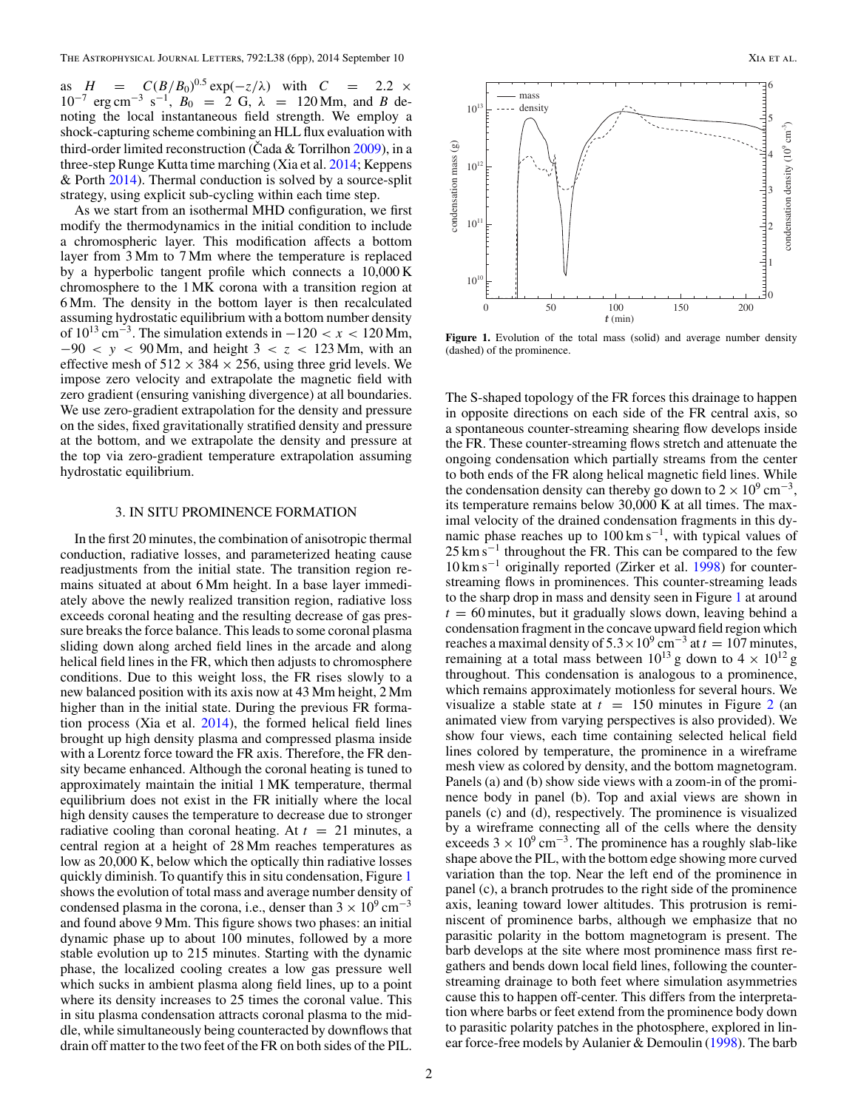as  $H = C(B/B_0)^{0.5} \exp(-z/\lambda)$  with  $C = 2.2 \times 10^{-7}$  $10^{-7}$  erg cm<sup>-3</sup> s<sup>-1</sup>,  $B_0 = 2$  G,  $\lambda = 120$  Mm, and *B* denoting the local instantaneous field strength. We employ a shock-capturing scheme combining an HLL flux evaluation with third-order limited reconstruction (Cada & Torrilhon  $2009$ ), in a three-step Runge Kutta time marching (Xia et al. [2014;](#page-5-0) Keppens & Porth [2014\)](#page-5-0). Thermal conduction is solved by a source-split strategy, using explicit sub-cycling within each time step.

As we start from an isothermal MHD configuration, we first modify the thermodynamics in the initial condition to include a chromospheric layer. This modification affects a bottom layer from 3 Mm to 7 Mm where the temperature is replaced by a hyperbolic tangent profile which connects a 10,000 K chromosphere to the 1 MK corona with a transition region at 6 Mm. The density in the bottom layer is then recalculated assuming hydrostatic equilibrium with a bottom number density of  $10^{13}$  cm<sup>-3</sup>. The simulation extends in  $-120 < x < 120$  Mm, −90 *<y<* 90 Mm, and height 3 *<z<* 123 Mm, with an effective mesh of  $512 \times 384 \times 256$ , using three grid levels. We impose zero velocity and extrapolate the magnetic field with zero gradient (ensuring vanishing divergence) at all boundaries. We use zero-gradient extrapolation for the density and pressure on the sides, fixed gravitationally stratified density and pressure at the bottom, and we extrapolate the density and pressure at the top via zero-gradient temperature extrapolation assuming hydrostatic equilibrium.

### 3. IN SITU PROMINENCE FORMATION

In the first 20 minutes, the combination of anisotropic thermal conduction, radiative losses, and parameterized heating cause readjustments from the initial state. The transition region remains situated at about 6 Mm height. In a base layer immediately above the newly realized transition region, radiative loss exceeds coronal heating and the resulting decrease of gas pressure breaks the force balance. This leads to some coronal plasma sliding down along arched field lines in the arcade and along helical field lines in the FR, which then adjusts to chromosphere conditions. Due to this weight loss, the FR rises slowly to a new balanced position with its axis now at 43 Mm height, 2 Mm higher than in the initial state. During the previous FR formation process (Xia et al. [2014\)](#page-5-0), the formed helical field lines brought up high density plasma and compressed plasma inside with a Lorentz force toward the FR axis. Therefore, the FR density became enhanced. Although the coronal heating is tuned to approximately maintain the initial 1 MK temperature, thermal equilibrium does not exist in the FR initially where the local high density causes the temperature to decrease due to stronger radiative cooling than coronal heating. At  $t = 21$  minutes, a central region at a height of 28 Mm reaches temperatures as low as 20,000 K, below which the optically thin radiative losses quickly diminish. To quantify this in situ condensation, Figure 1 shows the evolution of total mass and average number density of condensed plasma in the corona, i.e., denser than  $3 \times 10^9$  cm<sup>-3</sup> and found above 9 Mm. This figure shows two phases: an initial dynamic phase up to about 100 minutes, followed by a more stable evolution up to 215 minutes. Starting with the dynamic phase, the localized cooling creates a low gas pressure well which sucks in ambient plasma along field lines, up to a point where its density increases to 25 times the coronal value. This in situ plasma condensation attracts coronal plasma to the middle, while simultaneously being counteracted by downflows that drain off matter to the two feet of the FR on both sides of the PIL.



Figure 1. Evolution of the total mass (solid) and average number density (dashed) of the prominence.

The S-shaped topology of the FR forces this drainage to happen in opposite directions on each side of the FR central axis, so a spontaneous counter-streaming shearing flow develops inside the FR. These counter-streaming flows stretch and attenuate the ongoing condensation which partially streams from the center to both ends of the FR along helical magnetic field lines. While the condensation density can thereby go down to  $2 \times 10^9$  cm<sup>-3</sup>, its temperature remains below 30,000 K at all times. The maximal velocity of the drained condensation fragments in this dynamic phase reaches up to  $100 \text{ km s}^{-1}$ , with typical values of  $25 \text{ km s}^{-1}$  throughout the FR. This can be compared to the few  $10 \text{ km s}^{-1}$  originally reported (Zirker et al. [1998\)](#page-5-0) for counterstreaming flows in prominences. This counter-streaming leads to the sharp drop in mass and density seen in Figure 1 at around  $t = 60$  minutes, but it gradually slows down, leaving behind a condensation fragment in the concave upward field region which reaches a maximal density of  $5.3 \times 10^9$  cm<sup>-3</sup> at  $t = 107$  minutes, remaining at a total mass between  $10^{13}$  g down to  $4 \times 10^{12}$  g throughout. This condensation is analogous to a prominence, which remains approximately motionless for several hours. We visualize a stable state at  $t = 150$  minutes in Figure [2](#page-2-0) (an animated view from varying perspectives is also provided). We show four views, each time containing selected helical field lines colored by temperature, the prominence in a wireframe mesh view as colored by density, and the bottom magnetogram. Panels (a) and (b) show side views with a zoom-in of the prominence body in panel (b). Top and axial views are shown in panels (c) and (d), respectively. The prominence is visualized by a wireframe connecting all of the cells where the density exceeds  $3 \times 10^{9}$  cm<sup>-3</sup>. The prominence has a roughly slab-like shape above the PIL, with the bottom edge showing more curved variation than the top. Near the left end of the prominence in panel (c), a branch protrudes to the right side of the prominence axis, leaning toward lower altitudes. This protrusion is reminiscent of prominence barbs, although we emphasize that no parasitic polarity in the bottom magnetogram is present. The barb develops at the site where most prominence mass first regathers and bends down local field lines, following the counterstreaming drainage to both feet where simulation asymmetries cause this to happen off-center. This differs from the interpretation where barbs or feet extend from the prominence body down to parasitic polarity patches in the photosphere, explored in linear force-free models by Aulanier & Demoulin [\(1998\)](#page-5-0). The barb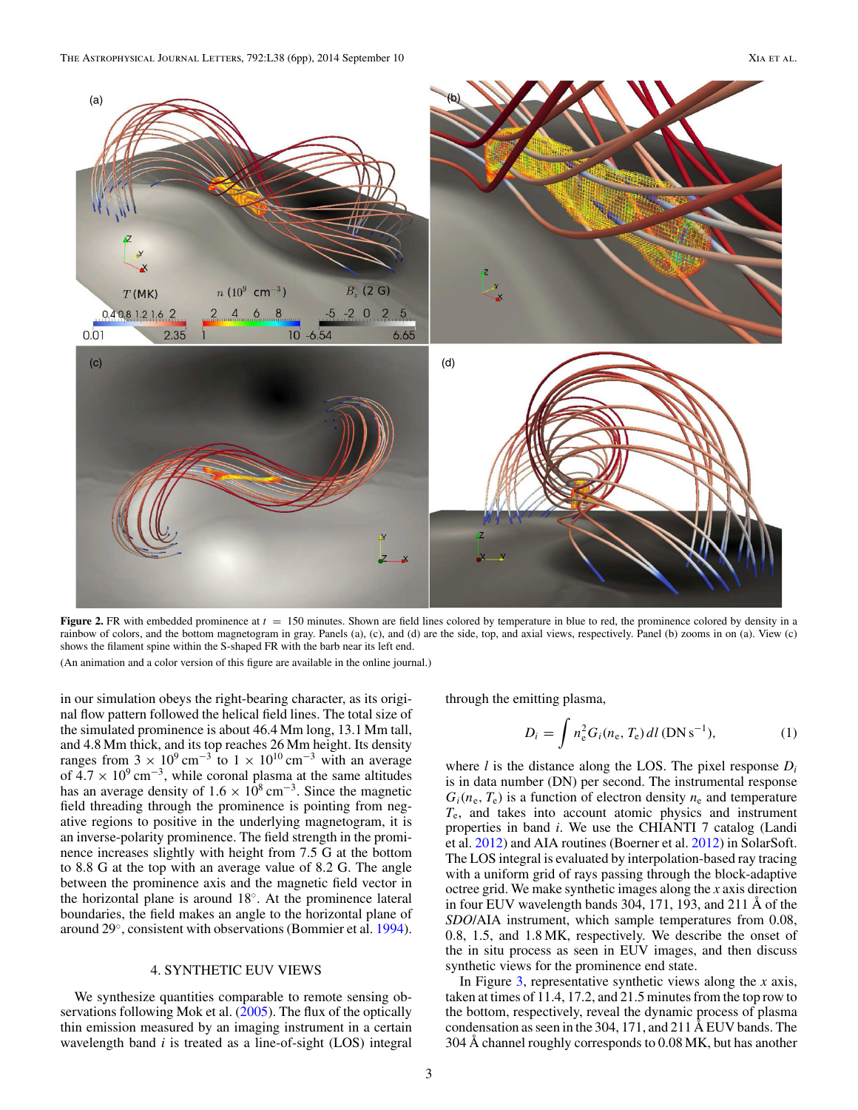<span id="page-2-0"></span>

**Figure 2.** FR with embedded prominence at  $t = 150$  minutes. Shown are field lines colored by temperature in blue to red, the prominence colored by density in a rainbow of colors, and the bottom magnetogram in gray. Panels (a), (c), and (d) are the side, top, and axial views, respectively. Panel (b) zooms in on (a). View (c) shows the filament spine within the S-shaped FR with the barb near its left end.

(An animation and a color version of this figure are available in the online journal.)

in our simulation obeys the right-bearing character, as its original flow pattern followed the helical field lines. The total size of the simulated prominence is about 46.4 Mm long, 13.1 Mm tall, and 4.8 Mm thick, and its top reaches 26 Mm height. Its density ranges from  $3 \times 10^9 \text{ cm}^{-3}$  to  $1 \times 10^{10} \text{ cm}^{-3}$  with an average of  $4.7 \times 10^9$  cm<sup>-3</sup>, while coronal plasma at the same altitudes has an average density of  $1.6 \times 10^8$  cm<sup>-3</sup>. Since the magnetic field threading through the prominence is pointing from negative regions to positive in the underlying magnetogram, it is an inverse-polarity prominence. The field strength in the prominence increases slightly with height from 7.5 G at the bottom to 8.8 G at the top with an average value of 8.2 G. The angle between the prominence axis and the magnetic field vector in the horizontal plane is around 18◦. At the prominence lateral boundaries, the field makes an angle to the horizontal plane of around 29◦, consistent with observations (Bommier et al. [1994\)](#page-5-0).

### 4. SYNTHETIC EUV VIEWS

We synthesize quantities comparable to remote sensing observations following Mok et al. [\(2005\)](#page-5-0). The flux of the optically thin emission measured by an imaging instrument in a certain wavelength band *i* is treated as a line-of-sight (LOS) integral through the emitting plasma,

$$
D_i = \int n_e^2 G_i(n_e, T_e) \, dl \, (DN \, s^{-1}), \tag{1}
$$

where *l* is the distance along the LOS. The pixel response *Di* is in data number (DN) per second. The instrumental response  $G_i(n_e, T_e)$  is a function of electron density  $n_e$  and temperature *T*e, and takes into account atomic physics and instrument properties in band *i*. We use the CHIANTI 7 catalog (Landi et al. [2012\)](#page-5-0) and AIA routines (Boerner et al. [2012\)](#page-5-0) in SolarSoft. The LOS integral is evaluated by interpolation-based ray tracing with a uniform grid of rays passing through the block-adaptive octree grid. We make synthetic images along the *x* axis direction in four EUV wavelength bands 304, 171, 193, and 211 Å of the *SDO*/AIA instrument, which sample temperatures from 0.08, 0.8, 1.5, and 1.8 MK, respectively. We describe the onset of the in situ process as seen in EUV images, and then discuss synthetic views for the prominence end state.

In Figure [3,](#page-3-0) representative synthetic views along the *x* axis, taken at times of 11.4, 17.2, and 21.5 minutes from the top row to the bottom, respectively, reveal the dynamic process of plasma condensation as seen in the 304, 171, and 211 Å EUV bands. The 304 Å channel roughly corresponds to 0.08 MK, but has another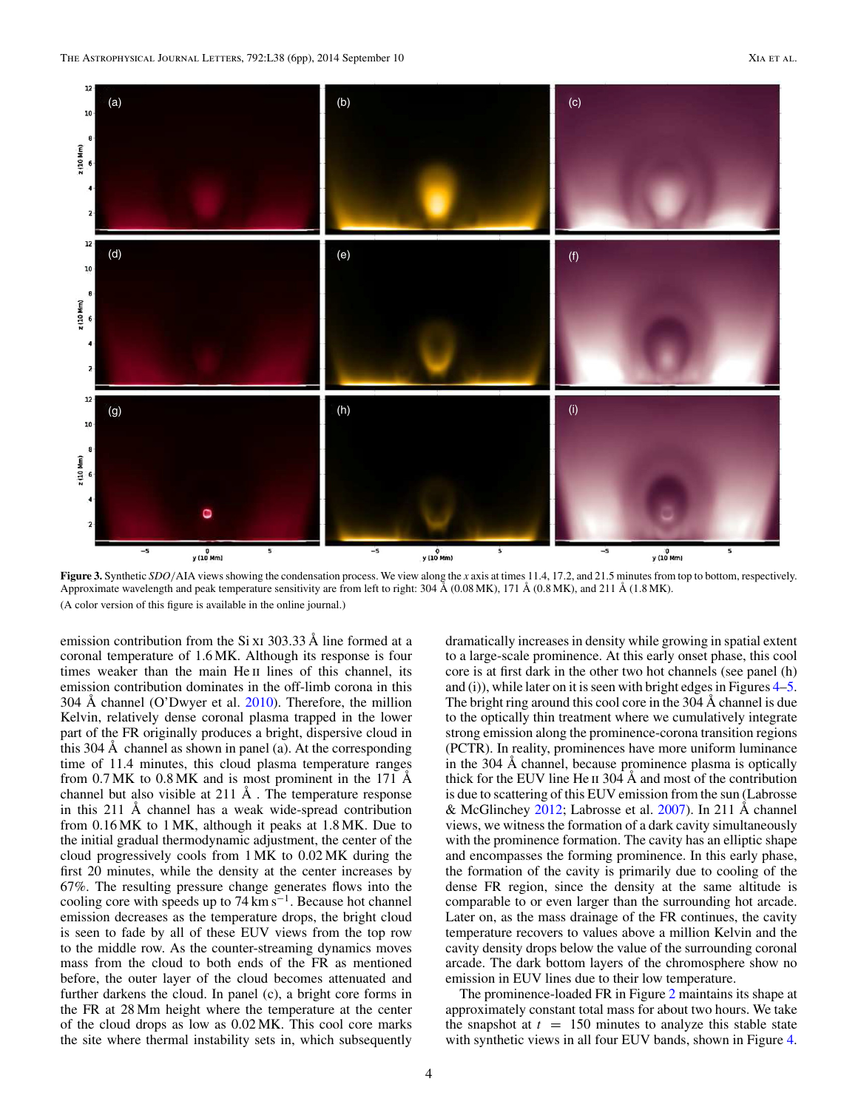<span id="page-3-0"></span>

**Figure 3.** Synthetic *SDO/*AIA views showing the condensation process. We view along the *x* axis at times 11.4, 17.2, and 21.5 minutes from top to bottom, respectively. Approximate wavelength and peak temperature sensitivity are from left to right: 304 Å (0.08 MK), 171 Å (0.8 MK), and 211 Å (1.8 MK). (A color version of this figure is available in the online journal.)

emission contribution from the Si x<sub>i</sub> 303.33 Å line formed at a coronal temperature of 1.6 MK. Although its response is four times weaker than the main He II lines of this channel, its emission contribution dominates in the off-limb corona in this 304 Å channel (O'Dwyer et al. [2010\)](#page-5-0). Therefore, the million Kelvin, relatively dense coronal plasma trapped in the lower part of the FR originally produces a bright, dispersive cloud in this 304 Å channel as shown in panel (a). At the corresponding time of 11.4 minutes, this cloud plasma temperature ranges from  $0.7$  MK to  $0.8$  MK and is most prominent in the 171 Å channel but also visible at 211 Å . The temperature response in this 211 Å channel has a weak wide-spread contribution from 0.16 MK to 1 MK, although it peaks at 1.8 MK. Due to the initial gradual thermodynamic adjustment, the center of the cloud progressively cools from 1 MK to 0.02 MK during the first 20 minutes, while the density at the center increases by 67%. The resulting pressure change generates flows into the cooling core with speeds up to  $74 \text{ km s}^{-1}$ . Because hot channel emission decreases as the temperature drops, the bright cloud is seen to fade by all of these EUV views from the top row to the middle row. As the counter-streaming dynamics moves mass from the cloud to both ends of the FR as mentioned before, the outer layer of the cloud becomes attenuated and further darkens the cloud. In panel (c), a bright core forms in the FR at 28 Mm height where the temperature at the center of the cloud drops as low as 0.02 MK. This cool core marks the site where thermal instability sets in, which subsequently

dramatically increases in density while growing in spatial extent to a large-scale prominence. At this early onset phase, this cool core is at first dark in the other two hot channels (see panel (h) and (i)), while later on it is seen with bright edges in Figures [4–5.](#page-4-0) The bright ring around this cool core in the 304 Å channel is due to the optically thin treatment where we cumulatively integrate strong emission along the prominence-corona transition regions (PCTR). In reality, prominences have more uniform luminance in the 304 Å channel, because prominence plasma is optically thick for the EUV line He  $\scriptstyle II$  304 Å and most of the contribution is due to scattering of this EUV emission from the sun (Labrosse & McGlinchey [2012;](#page-5-0) Labrosse et al. [2007\)](#page-5-0). In 211 Å channel views, we witness the formation of a dark cavity simultaneously with the prominence formation. The cavity has an elliptic shape and encompasses the forming prominence. In this early phase, the formation of the cavity is primarily due to cooling of the dense FR region, since the density at the same altitude is comparable to or even larger than the surrounding hot arcade. Later on, as the mass drainage of the FR continues, the cavity temperature recovers to values above a million Kelvin and the cavity density drops below the value of the surrounding coronal arcade. The dark bottom layers of the chromosphere show no emission in EUV lines due to their low temperature.

The prominence-loaded FR in Figure [2](#page-2-0) maintains its shape at approximately constant total mass for about two hours. We take the snapshot at  $t = 150$  minutes to analyze this stable state with synthetic views in all four EUV bands, shown in Figure [4.](#page-4-0)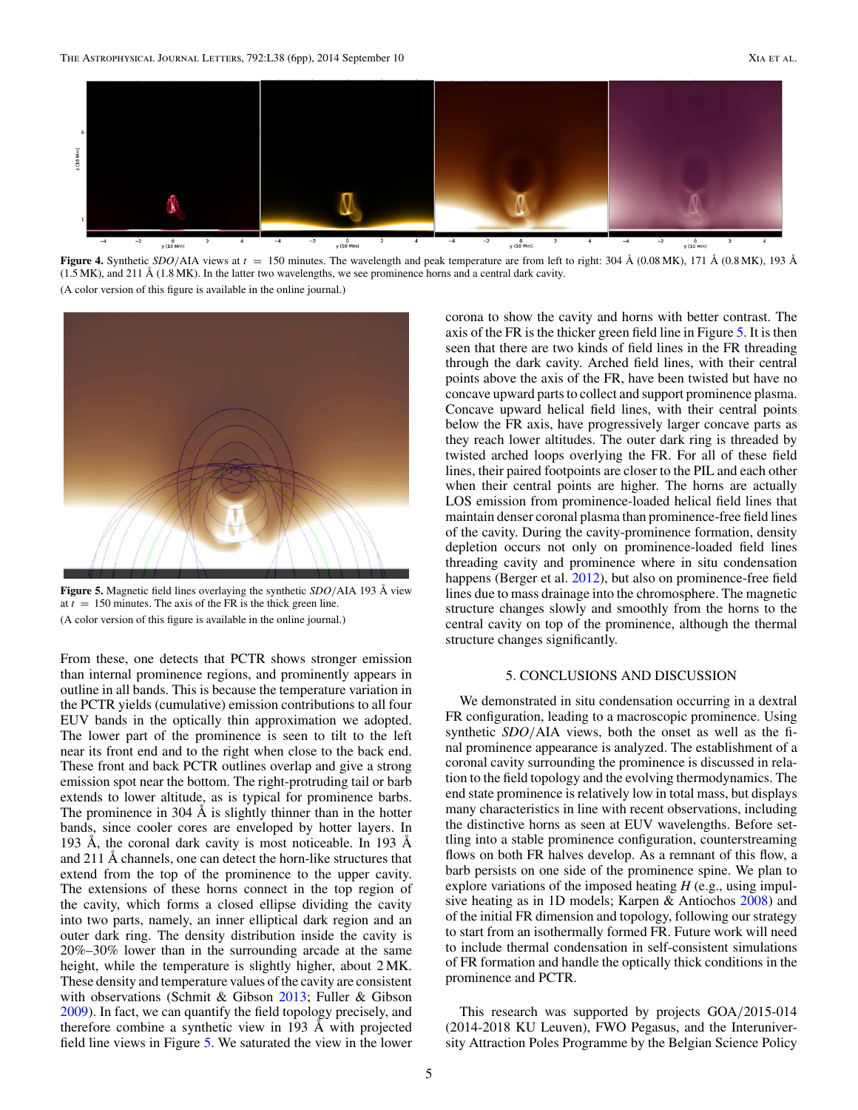<span id="page-4-0"></span>

**Figure 4.** Synthetic *SDO/*AIA views at *t* = 150 minutes. The wavelength and peak temperature are from left to right: 304 Å (0.08 MK), 171 Å (0.8 MK), 193 Å  $(1.5$  MK), and  $211 \text{ Å}$  (1.8 MK). In the latter two wavelengths, we see prominence horns and a central dark cavity. (A color version of this figure is available in the online journal.)



**Figure 5.** Magnetic field lines overlaying the synthetic *SDO/*AIA 193 Å view at  $t = 150$  minutes. The axis of the FR is the thick green line. (A color version of this figure is available in the online journal.)

From these, one detects that PCTR shows stronger emission than internal prominence regions, and prominently appears in outline in all bands. This is because the temperature variation in the PCTR yields (cumulative) emission contributions to all four EUV bands in the optically thin approximation we adopted. The lower part of the prominence is seen to tilt to the left near its front end and to the right when close to the back end. These front and back PCTR outlines overlap and give a strong emission spot near the bottom. The right-protruding tail or barb extends to lower altitude, as is typical for prominence barbs. The prominence in 304 Å is slightly thinner than in the hotter bands, since cooler cores are enveloped by hotter layers. In 193 Å, the coronal dark cavity is most noticeable. In 193 Å and 211 Å channels, one can detect the horn-like structures that extend from the top of the prominence to the upper cavity. The extensions of these horns connect in the top region of the cavity, which forms a closed ellipse dividing the cavity into two parts, namely, an inner elliptical dark region and an outer dark ring. The density distribution inside the cavity is 20%–30% lower than in the surrounding arcade at the same height, while the temperature is slightly higher, about 2 MK. These density and temperature values of the cavity are consistent with observations (Schmit & Gibson [2013;](#page-5-0) Fuller & Gibson [2009\)](#page-5-0). In fact, we can quantify the field topology precisely, and therefore combine a synthetic view in 193 Å with projected field line views in Figure 5. We saturated the view in the lower

corona to show the cavity and horns with better contrast. The axis of the FR is the thicker green field line in Figure 5. It is then seen that there are two kinds of field lines in the FR threading through the dark cavity. Arched field lines, with their central points above the axis of the FR, have been twisted but have no concave upward parts to collect and support prominence plasma. Concave upward helical field lines, with their central points below the FR axis, have progressively larger concave parts as they reach lower altitudes. The outer dark ring is threaded by twisted arched loops overlying the FR. For all of these field lines, their paired footpoints are closer to the PIL and each other when their central points are higher. The horns are actually LOS emission from prominence-loaded helical field lines that maintain denser coronal plasma than prominence-free field lines of the cavity. During the cavity-prominence formation, density depletion occurs not only on prominence-loaded field lines threading cavity and prominence where in situ condensation happens (Berger et al. [2012\)](#page-5-0), but also on prominence-free field lines due to mass drainage into the chromosphere. The magnetic structure changes slowly and smoothly from the horns to the central cavity on top of the prominence, although the thermal structure changes significantly.

### 5. CONCLUSIONS AND DISCUSSION

We demonstrated in situ condensation occurring in a dextral FR configuration, leading to a macroscopic prominence. Using synthetic *SDO/*AIA views, both the onset as well as the final prominence appearance is analyzed. The establishment of a coronal cavity surrounding the prominence is discussed in relation to the field topology and the evolving thermodynamics. The end state prominence is relatively low in total mass, but displays many characteristics in line with recent observations, including the distinctive horns as seen at EUV wavelengths. Before settling into a stable prominence configuration, counterstreaming flows on both FR halves develop. As a remnant of this flow, a barb persists on one side of the prominence spine. We plan to explore variations of the imposed heating *H* (e.g., using impulsive heating as in 1D models; Karpen & Antiochos [2008\)](#page-5-0) and of the initial FR dimension and topology, following our strategy to start from an isothermally formed FR. Future work will need to include thermal condensation in self-consistent simulations of FR formation and handle the optically thick conditions in the prominence and PCTR.

This research was supported by projects GOA*/*2015-014 (2014-2018 KU Leuven), FWO Pegasus, and the Interuniversity Attraction Poles Programme by the Belgian Science Policy